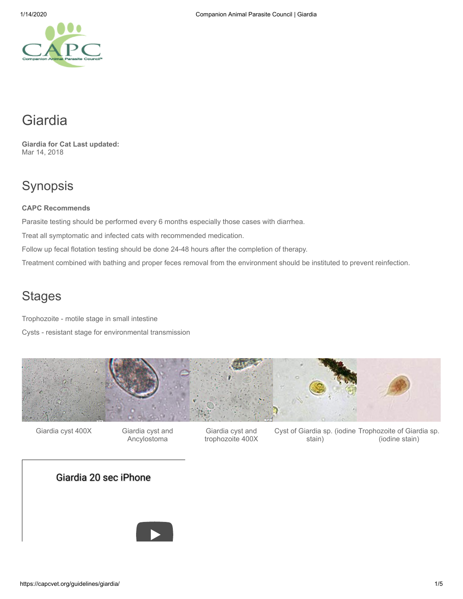# Giardia

**Giardia for Cat Last updated:** Mar 14, 2018

# Synopsis

### **CAPC Recommends**

Parasite testing should be performed every 6 months especially those cases with diarrhea.

Treat all symptomatic and infected cats with recommended medication.

Follow up fecal flotation testing should be done 24-48 hours after the completion of therapy.

Treatment combined with bathing and proper feces removal from the environment should be instituted to prevent reinfection.

# **Stages**

Trophozoite - motile stage in small intestine

Cysts - resistant stage for environmental transmission



Giardia cyst 400X Giardia cyst and Giardia cyst and

Giardia cyst and Ancylostoma

trophozoite 400X

Cyst of Giardia sp. (iodine Trophozoite of Giardia sp. stain) (iodine stain)

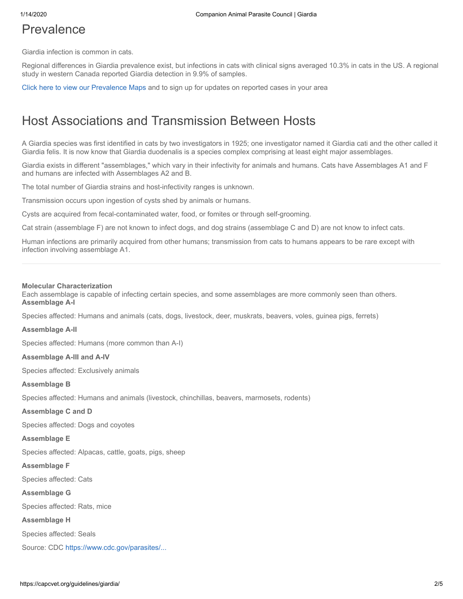### Prevalence

Giardia infection is common in cats.

Regional differences in Giardia prevalence exist, but infections in cats with clinical signs averaged 10.3% in cats in the US. A regional study in western Canada reported Giardia detection in 9.9% of samples.

[Click here to view our Prevalence Maps](https://capcvet.org/maps/) and to sign up for updates on reported cases in your area

### Host Associations and Transmission Between Hosts

A Giardia species was first identified in cats by two investigators in 1925; one investigator named it Giardia cati and the other called it Giardia felis. It is now know that Giardia duodenalis is a species complex comprising at least eight major assemblages.

Giardia exists in different "assemblages," which vary in their infectivity for animals and humans. Cats have Assemblages A1 and F and humans are infected with Assemblages A2 and B.

The total number of Giardia strains and host-infectivity ranges is unknown.

Transmission occurs upon ingestion of cysts shed by animals or humans.

Cysts are acquired from fecal-contaminated water, food, or fomites or through self-grooming.

Cat strain (assemblage F) are not known to infect dogs, and dog strains (assemblage C and D) are not know to infect cats.

Human infections are primarily acquired from other humans; transmission from cats to humans appears to be rare except with infection involving assemblage A1.

#### **Molecular Characterization**

Each assemblage is capable of infecting certain species, and some assemblages are more commonly seen than others. **Assemblage A-I**

Species affected: Humans and animals (cats, dogs, livestock, deer, muskrats, beavers, voles, guinea pigs, ferrets)

#### **Assemblage A-II**

Species affected: Humans (more common than A-I)

#### **Assemblage A-III and A-IV**

Species affected: Exclusively animals

#### **Assemblage B**

Species affected: Humans and animals (livestock, chinchillas, beavers, marmosets, rodents)

#### **Assemblage C and D**

Species affected: Dogs and coyotes

#### **Assemblage E**

Species affected: Alpacas, cattle, goats, pigs, sheep

#### **Assemblage F**

Species affected: Cats

#### **Assemblage G**

Species affected: Rats, mice

#### **Assemblage H**

Species affected: Seals

Source: CDC [https://www.cdc.gov/parasites/...](https://www.cdc.gov/parasites/giardia/infection-sources.html)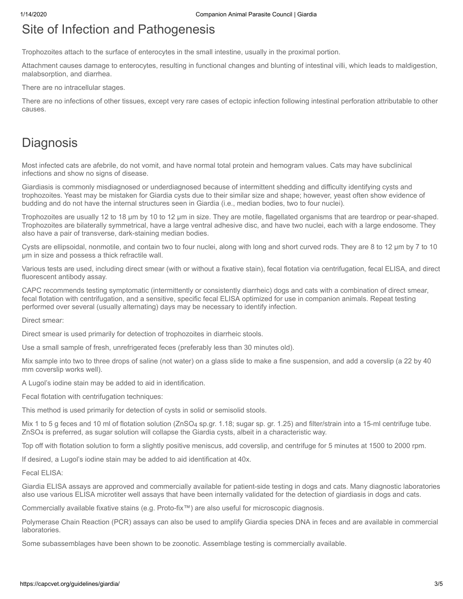# Site of Infection and Pathogenesis

Trophozoites attach to the surface of enterocytes in the small intestine, usually in the proximal portion.

Attachment causes damage to enterocytes, resulting in functional changes and blunting of intestinal villi, which leads to maldigestion, malabsorption, and diarrhea.

There are no intracellular stages.

There are no infections of other tissues, except very rare cases of ectopic infection following intestinal perforation attributable to other causes.

### **Diagnosis**

Most infected cats are afebrile, do not vomit, and have normal total protein and hemogram values. Cats may have subclinical infections and show no signs of disease.

Giardiasis is commonly misdiagnosed or underdiagnosed because of intermittent shedding and difficulty identifying cysts and trophozoites. Yeast may be mistaken for Giardia cysts due to their similar size and shape; however, yeast often show evidence of budding and do not have the internal structures seen in Giardia (i.e., median bodies, two to four nuclei).

Trophozoites are usually 12 to 18 µm by 10 to 12 µm in size. They are motile, flagellated organisms that are teardrop or pear-shaped. Trophozoites are bilaterally symmetrical, have a large ventral adhesive disc, and have two nuclei, each with a large endosome. They also have a pair of transverse, dark-staining median bodies.

Cysts are ellipsoidal, nonmotile, and contain two to four nuclei, along with long and short curved rods. They are 8 to 12 µm by 7 to 10 µm in size and possess a thick refractile wall.

Various tests are used, including direct smear (with or without a fixative stain), fecal flotation via centrifugation, fecal ELISA, and direct fluorescent antibody assay.

CAPC recommends testing symptomatic (intermittently or consistently diarrheic) dogs and cats with a combination of direct smear, fecal flotation with centrifugation, and a sensitive, specific fecal ELISA optimized for use in companion animals. Repeat testing performed over several (usually alternating) days may be necessary to identify infection.

Direct smear:

Direct smear is used primarily for detection of trophozoites in diarrheic stools.

Use a small sample of fresh, unrefrigerated feces (preferably less than 30 minutes old).

Mix sample into two to three drops of saline (not water) on a glass slide to make a fine suspension, and add a coverslip (a 22 by 40 mm coverslip works well).

A Lugol's iodine stain may be added to aid in identification.

Fecal flotation with centrifugation techniques:

This method is used primarily for detection of cysts in solid or semisolid stools.

Mix 1 to 5 g feces and 10 ml of flotation solution (ZnSO<sub>4</sub> sp.gr. 1.18; sugar sp. gr. 1.25) and filter/strain into a 15-ml centrifuge tube. ZnSO4 is preferred, as sugar solution will collapse the Giardia cysts, albeit in a characteristic way.

Top off with flotation solution to form a slightly positive meniscus, add coverslip, and centrifuge for 5 minutes at 1500 to 2000 rpm.

If desired, a Lugol's iodine stain may be added to aid identification at 40x.

Fecal ELISA:

Giardia ELISA assays are approved and commercially available for patient-side testing in dogs and cats. Many diagnostic laboratories also use various ELISA microtiter well assays that have been internally validated for the detection of giardiasis in dogs and cats.

Commercially available fixative stains (e.g. Proto-fix™) are also useful for microscopic diagnosis.

Polymerase Chain Reaction (PCR) assays can also be used to amplify Giardia species DNA in feces and are available in commercial laboratories.

Some subassemblages have been shown to be zoonotic. Assemblage testing is commercially available.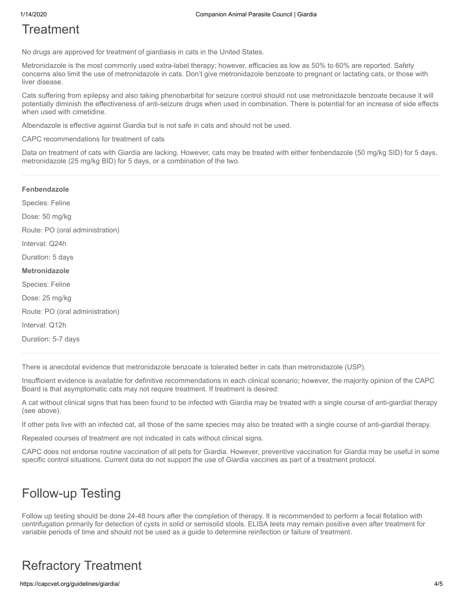# **Treatment**

No drugs are approved for treatment of giardiasis in cats in the United States.

Metronidazole is the most commonly used extra-label therapy; however, efficacies as low as 50% to 60% are reported. Safety concerns also limit the use of metronidazole in cats. Don't give metronidazole benzoate to pregnant or lactating cats, or those with liver disease.

Cats suffering from epilepsy and also taking phenobarbital for seizure control should not use metronidazole benzoate because it will potentially diminish the effectiveness of anti-seizure drugs when used in combination. There is potential for an increase of side effects when used with cimetidine.

Albendazole is effective against Giardia but is not safe in cats and should not be used.

CAPC recommendations for treatment of cats

Data on treatment of cats with Giardia are lacking. However, cats may be treated with either fenbendazole (50 mg/kg SID) for 5 days, metronidazole (25 mg/kg BID) for 5 days, or a combination of the two.

| Fenbendazole                    |
|---------------------------------|
| Species: Feline                 |
| Dose: 50 mg/kg                  |
| Route: PO (oral administration) |
| Interval: Q24h                  |
| Duration: 5 days                |
| Metronidazole                   |
| Species: Feline                 |
| Dose: 25 mg/kg                  |
| Route: PO (oral administration) |
|                                 |
| Interval: Q12h                  |

There is anecdotal evidence that metronidazole benzoate is tolerated better in cats than metronidazole (USP).

Insufficient evidence is available for definitive recommendations in each clinical scenario; however, the majority opinion of the CAPC Board is that asymptomatic cats may not require treatment. If treatment is desired:

A cat without clinical signs that has been found to be infected with Giardia may be treated with a single course of anti-giardial therapy (see above).

If other pets live with an infected cat, all those of the same species may also be treated with a single course of anti-giardial therapy.

Repeated courses of treatment are not indicated in cats without clinical signs.

CAPC does not endorse routine vaccination of all pets for Giardia. However, preventive vaccination for Giardia may be useful in some specific control situations. Current data do not support the use of Giardia vaccines as part of a treatment protocol.

# Follow-up Testing

Follow up testing should be done 24-48 hours after the completion of therapy. It is recommended to perform a fecal flotation with centrifugation primarily for detection of cysts in solid or semisolid stools. ELISA tests may remain positive even after treatment for variable periods of time and should not be used as a guide to determine reinfection or failure of treatment.

# Refractory Treatment